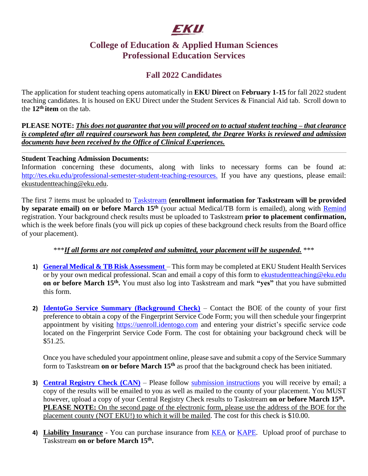# EKU

## **College of Education & Applied Human Sciences Professional Education Services**

## **Fall 2022 Candidates**

The application for student teaching opens automatically in **EKU Direct** on **February 1-15** for fall 2022 student teaching candidates. It is housed on EKU Direct under the Student Services & Financial Aid tab. Scroll down to the 12<sup>th</sup> item on the tab.

**PLEASE NOTE:** *This does not guarantee that you will proceed on to actual student teaching – that clearance is completed after all required coursework has been completed, the Degree Works is reviewed and admission documents have been received by the Office of Clinical Experiences.* 

#### **Student Teaching Admission Documents:**

Information concerning these documents, along with links to necessary forms can be found at: [http://tes.eku.edu/professional-semester-student-teaching-resources.](http://tes.eku.edu/professional-semester-student-teaching-resources) If you have any questions, please email: [ekustudentteaching@eku.edu.](mailto:ekustudentteaching@eku.edu)

The first 7 items must be uploaded to **Taskstream** (enrollment information for [Taskstream](https://login.taskstream.com/signon/) will be provided **by separate email) on or before March 15th** (your actual Medical/TB form is emailed), along with [Remind](https://www.remind.com/send_the_app) registration. Your background check results must be uploaded to Taskstream **prior to placement confirmation,** which is the week before finals (you will pick up copies of these background check results from the Board office of your placement).

#### \*\*\**If all forms are not completed and submitted, your placement will be suspended.* \*\*\*

- **1) [General Medical & TB Risk Assessment](file://///facultystaff.eku.edu/filesrv/Cifs/ekudata/Colleges/coe/CPEP-Clinical%20Experiences/STUDENT%20TEACHING/Forms%20&%20Policies/Physical%20and%20TB%20Risk%20Assessment.pdf)** This form may be completed at EKU Student Health Services or by your own medical professional. Scan and email a copy of this form to [ekustudentteaching@eku.edu](mailto:ekustudentteaching@eku.edu) **on or before March 15th .** You must also log into Taskstream and mark **"yes"** that you have submitted this form.
- **2) [IdentoGo Service Summary \(Background Check\)](file://///facultystaff.eku.edu/filesrv/Cifs/ekudata/Colleges/coe/CPEP-Clinical%20Experiences/STUDENT%20TEACHING/Forms%20&%20Policies/IdentoGO/How%20to%20Register%20-%20In-Person.pdf)** Contact the BOE of the county of your first preference to obtain a copy of the Fingerprint Service Code Form; you will then schedule your fingerprint appointment by visiting [https://uenroll.identogo.com](https://uenroll.identogo.com/) and entering your district's specific service code located on the Fingerprint Service Code Form. The cost for obtaining your background check will be \$51.25.

Once you have scheduled your appointment online, please save and submit a copy of the Service Summary form to Taskstream **on or before March 15th** as proof that the background check has been initiated.

- **3) [Central Registry Check \(CAN\)](http://ssointernal.chfs.ky.gov/)** Please follow [submission instructions](file://///facultystaff.eku.edu/filesrv/Cifs/ekudata/Colleges/coe/CPEP-Clinical%20Experiences/STUDENT%20TEACHING/Forms%20&%20Policies/Online%20CAN%20Instructions.pdf) you will receive by email; a copy of the results will be emailed to you as well as mailed to the county of your placement. You MUST however, upload a copy of your Central Registry Check results to Taskstream **on or before March 15th . PLEASE NOTE:** On the second page of the electronic form, please use the address of the BOE for the placement county (NOT EKU!) to which it will be mailed. The cost for this check is \$10.00.
- **4) Liability Insurance** You can purchase insurance from [KEA](http://www.kea.org/) or [KAPE.](http://www.kentuckyteachers.org/) Upload proof of purchase to Taskstream **on or before March 15th .**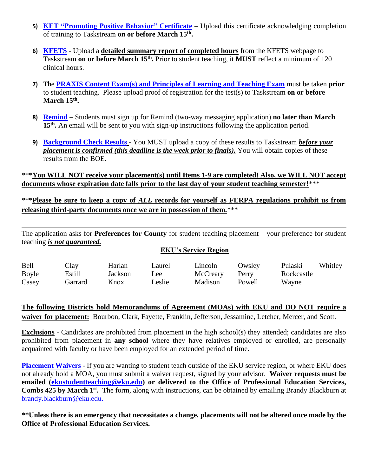- **5) [KET "Promoting Positive Behavior"](http://ket.pbslearningmedia.org/resource/promoting_pos_beh/promoting-positive-behavior-in-schools/#.XhcqF_lKiM8) Certificate** Upload this certificate acknowledging completion of training to Taskstream **on or before March 15th .**
- **6) [KFETS](https://wd.kyepsb.net/EPSB.WebApps/FieldExperience/Student/stIntroduction.aspx)** Upload a **detailed summary report of completed hours** from the KFETS webpage to Taskstream **on or before March 15th .** Prior to student teaching, it **MUST** reflect a minimum of 120 clinical hours.
- **7)** The **[PRAXIS Content Exam\(s\) and Principles of Learning and Teaching Exam](http://tes.eku.edu/test-information)** must be taken **prior**  to student teaching. Please upload proof of registration for the test(s) to Taskstream **on or before March 15th .**
- **8) [Remind](https://www.remind.com/send_the_app) –** Students must sign up for Remind (two-way messaging application) **no later than March**  15<sup>th</sup>. An email will be sent to you with sign-up instructions following the application period.
- **9) [Background Check](https://login.taskstream.com/signon/) Results** You MUST upload a copy of these results to Taskstream *before your placement is confirmed (this deadline is the week prior to finals).* You will obtain copies of these results from the BOE.

\*\*\***You WILL NOT receive your placement(s) until Items 1-9 are completed! Also, we WILL NOT accept documents whose expiration date falls prior to the last day of your student teaching semester!**\*\*\*

\*\*\***Please be sure to keep a copy of** *ALL* **records for yourself as FERPA regulations prohibit us from releasing third-party documents once we are in possession of them***.*\*\*\*

The application asks for **Preferences for County** for student teaching placement – your preference for student teaching *is not guaranteed.*

#### **EKU's Service Region**

| Bell  | Clay    | Harlan  | Laurel | Lincoln        | Owsley | Pulaski    | Whitley |
|-------|---------|---------|--------|----------------|--------|------------|---------|
| Boyle | Estill  | Jackson | Lee    | McCreary Perry |        | Rockcastle |         |
| Casey | Garrard | Knox    | Leslie | Madison        | Powell | Wayne      |         |

**The following Districts hold Memorandums of Agreement (MOAs) with EKU and DO NOT require a waiver for placement:** Bourbon, Clark, Fayette, Franklin, Jefferson, Jessamine, Letcher, Mercer, and Scott.

**Exclusions** - Candidates are prohibited from placement in the high school(s) they attended; candidates are also prohibited from placement in **any school** where they have relatives employed or enrolled, are personally acquainted with faculty or have been employed for an extended period of time.

**[Placement Waivers](file://///facultystaff.eku.edu/filesrv/Cifs/ekudata/Colleges/coe/CPEP-Clinical%20Experiences/STUDENT%20TEACHING/Forms%20&%20Policies/ST%20Waiver%20Request%20-%20Updated%202-2020.pdf)** - If you are wanting to student teach outside of the EKU service region, or where EKU does not already hold a MOA, you must submit a waiver request, signed by your advisor. **Waiver requests must be emailed [\(ekustudentteaching@eku.edu\)](mailto:ekustudentteaching@eku.edu) or delivered to the Office of Professional Education Services, Combs 425 by March 1 st .** The form, along with instructions, can be obtained by emailing Brandy Blackburn at [brandy.blackburn@eku.edu.](mailto:brandy.blackburn@eku.edu)

**\*\*Unless there is an emergency that necessitates a change, placements will not be altered once made by the Office of Professional Education Services.**